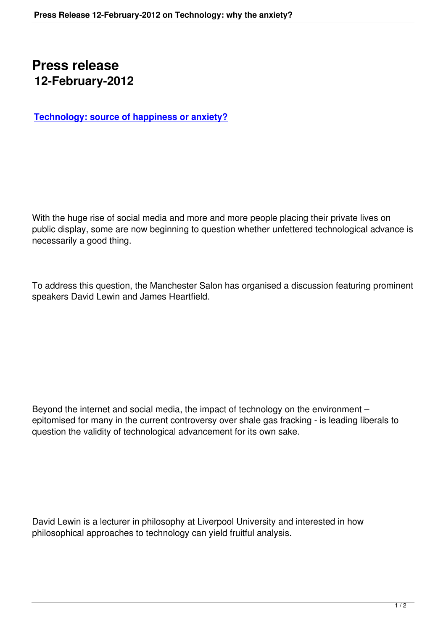## **Press release 12-February-2012**

**Technology: source of happiness or anxiety?**

With the huge rise of social media and more and more people placing their private lives on public display, some are now beginning to question whether unfettered technological advance is necessarily a good thing.

To address this question, the Manchester Salon has organised a discussion featuring prominent speakers David Lewin and James Heartfield.

Beyond the internet and social media, the impact of technology on the environment – epitomised for many in the current controversy over shale gas fracking - is leading liberals to question the validity of technological advancement for its own sake.

David Lewin is a lecturer in philosophy at Liverpool University and interested in how philosophical approaches to technology can yield fruitful analysis.